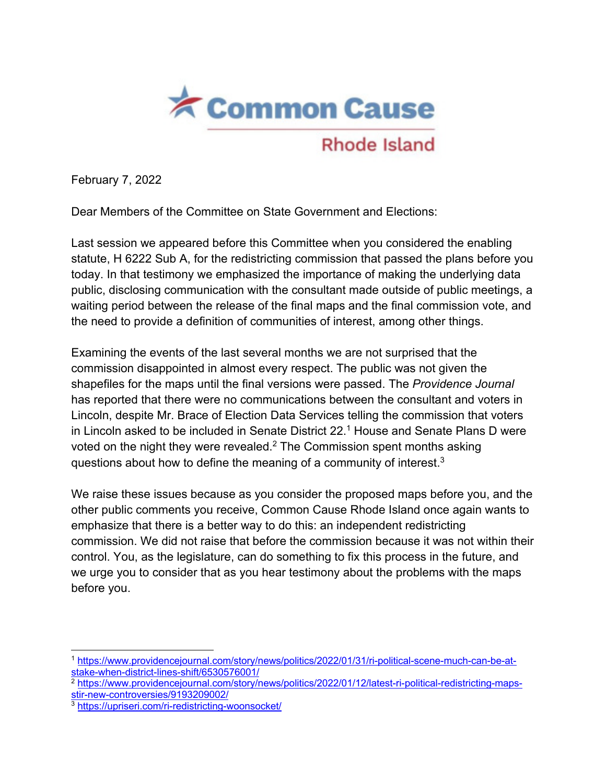

February 7, 2022

Dear Members of the Committee on State Government and Elections:

Last session we appeared before this Committee when you considered the enabling statute, H 6222 Sub A, for the redistricting commission that passed the plans before you today. In that testimony we emphasized the importance of making the underlying data public, disclosing communication with the consultant made outside of public meetings, a waiting period between the release of the final maps and the final commission vote, and the need to provide a definition of communities of interest, among other things.

Examining the events of the last several months we are not surprised that the commission disappointed in almost every respect. The public was not given the shapefiles for the maps until the final versions were passed. The *Providence Journal* has reported that there were no communications between the consultant and voters in Lincoln, despite Mr. Brace of Election Data Services telling the commission that voters in Lincoln asked to be included in Senate District 22.<sup>1</sup> House and Senate Plans D were voted on the night they were revealed.<sup>2</sup> The Commission spent months asking questions about how to define the meaning of a community of interest.<sup>3</sup>

We raise these issues because as you consider the proposed maps before you, and the other public comments you receive, Common Cause Rhode Island once again wants to emphasize that there is a better way to do this: an independent redistricting commission. We did not raise that before the commission because it was not within their control. You, as the legislature, can do something to fix this process in the future, and we urge you to consider that as you hear testimony about the problems with the maps before you.

<sup>1</sup> https://www.providencejournal.com/story/news/politics/2022/01/31/ri-political-scene-much-can-be-atstake-when-district-lines-shift/6530576001/

<sup>&</sup>lt;sup>2</sup> https://www.providencejournal.com/story/news/politics/2022/01/12/latest-ri-political-redistricting-mapsstir-new-controversies/9193209002/

<sup>3</sup> https://upriseri.com/ri-redistricting-woonsocket/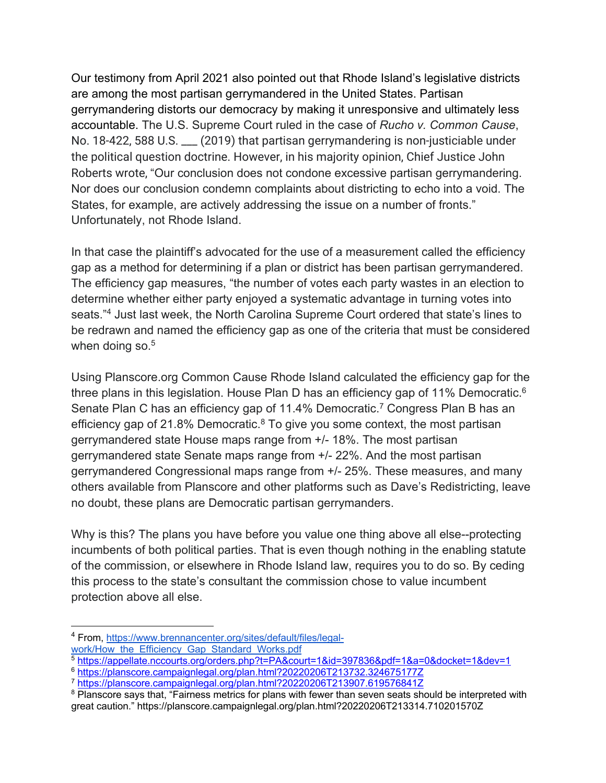Our testimony from April 2021 also pointed out that Rhode Island's legislative districts are among the most partisan gerrymandered in the United States. Partisan gerrymandering distorts our democracy by making it unresponsive and ultimately less accountable. The U.S. Supreme Court ruled in the case of *Rucho v. Common Cause*, No. 18-422, 588 U.S. \_\_\_ (2019) that partisan gerrymandering is non-justiciable under the political question doctrine. However, in his majority opinion, Chief Justice John Roberts wrote, "Our conclusion does not condone excessive partisan gerrymandering. Nor does our conclusion condemn complaints about districting to echo into a void. The States, for example, are actively addressing the issue on a number of fronts." Unfortunately, not Rhode Island.

In that case the plaintiff's advocated for the use of a measurement called the efficiency gap as a method for determining if a plan or district has been partisan gerrymandered. The efficiency gap measures, "the number of votes each party wastes in an election to determine whether either party enjoyed a systematic advantage in turning votes into seats."<sup>4</sup> Just last week, the North Carolina Supreme Court ordered that state's lines to be redrawn and named the efficiency gap as one of the criteria that must be considered when doing so.<sup>5</sup>

Using Planscore.org Common Cause Rhode Island calculated the efficiency gap for the three plans in this legislation. House Plan D has an efficiency gap of 11% Democratic.<sup>6</sup> Senate Plan C has an efficiency gap of 11.4% Democratic.<sup>7</sup> Congress Plan B has an efficiency gap of 21.8% Democratic.<sup>8</sup> To give you some context, the most partisan gerrymandered state House maps range from +/- 18%. The most partisan gerrymandered state Senate maps range from +/- 22%. And the most partisan gerrymandered Congressional maps range from +/- 25%. These measures, and many others available from Planscore and other platforms such as Dave's Redistricting, leave no doubt, these plans are Democratic partisan gerrymanders.

Why is this? The plans you have before you value one thing above all else--protecting incumbents of both political parties. That is even though nothing in the enabling statute of the commission, or elsewhere in Rhode Island law, requires you to do so. By ceding this process to the state's consultant the commission chose to value incumbent protection above all else.

<sup>4</sup> From, https://www.brennancenter.org/sites/default/files/legalwork/How the Efficiency Gap Standard Works.pdf

<sup>5</sup> https://appellate.nccourts.org/orders.php?t=PA&court=1&id=397836&pdf=1&a=0&docket=1&dev=1

<sup>6</sup> https://planscore.campaignlegal.org/plan.html?20220206T213732.324675177Z

<sup>7</sup> https://planscore.campaignlegal.org/plan.html?20220206T213907.619576841Z

<sup>&</sup>lt;sup>8</sup> Planscore says that, "Fairness metrics for plans with fewer than seven seats should be interpreted with great caution." https://planscore.campaignlegal.org/plan.html?20220206T213314.710201570Z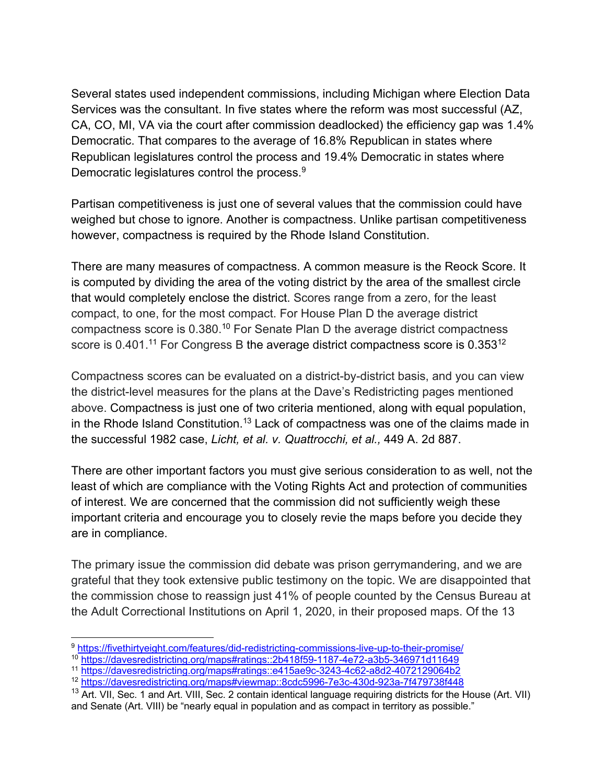Several states used independent commissions, including Michigan where Election Data Services was the consultant. In five states where the reform was most successful (AZ, CA, CO, MI, VA via the court after commission deadlocked) the efficiency gap was 1.4% Democratic. That compares to the average of 16.8% Republican in states where Republican legislatures control the process and 19.4% Democratic in states where Democratic legislatures control the process.<sup>9</sup>

Partisan competitiveness is just one of several values that the commission could have weighed but chose to ignore. Another is compactness. Unlike partisan competitiveness however, compactness is required by the Rhode Island Constitution.

There are many measures of compactness. A common measure is the Reock Score. It is computed by dividing the area of the voting district by the area of the smallest circle that would completely enclose the district. Scores range from a zero, for the least compact, to one, for the most compact. For House Plan D the average district compactness score is 0.380.<sup>10</sup> For Senate Plan D the average district compactness score is 0.401.<sup>11</sup> For Congress B the average district compactness score is 0.353<sup>12</sup>

Compactness scores can be evaluated on a district-by-district basis, and you can view the district-level measures for the plans at the Dave's Redistricting pages mentioned above. Compactness is just one of two criteria mentioned, along with equal population, in the Rhode Island Constitution.<sup>13</sup> Lack of compactness was one of the claims made in the successful 1982 case, *Licht, et al. v. Quattrocchi, et al.,* 449 A. 2d 887.

There are other important factors you must give serious consideration to as well, not the least of which are compliance with the Voting Rights Act and protection of communities of interest. We are concerned that the commission did not sufficiently weigh these important criteria and encourage you to closely revie the maps before you decide they are in compliance.

The primary issue the commission did debate was prison gerrymandering, and we are grateful that they took extensive public testimony on the topic. We are disappointed that the commission chose to reassign just 41% of people counted by the Census Bureau at the Adult Correctional Institutions on April 1, 2020, in their proposed maps. Of the 13

<sup>9</sup> https://fivethirtyeight.com/features/did-redistricting-commissions-live-up-to-their-promise/

<sup>10</sup> https://davesredistricting.org/maps#ratings::2b418f59-1187-4e72-a3b5-346971d11649

<sup>11</sup> https://davesredistricting.org/maps#ratings::e415ae9c-3243-4c62-a8d2-4072129064b2

<sup>12</sup> https://davesredistricting.org/maps#viewmap::8cdc5996-7e3c-430d-923a-7f479738f448

<sup>&</sup>lt;sup>13</sup> Art. VII, Sec. 1 and Art. VIII, Sec. 2 contain identical language requiring districts for the House (Art. VII) and Senate (Art. VIII) be "nearly equal in population and as compact in territory as possible."